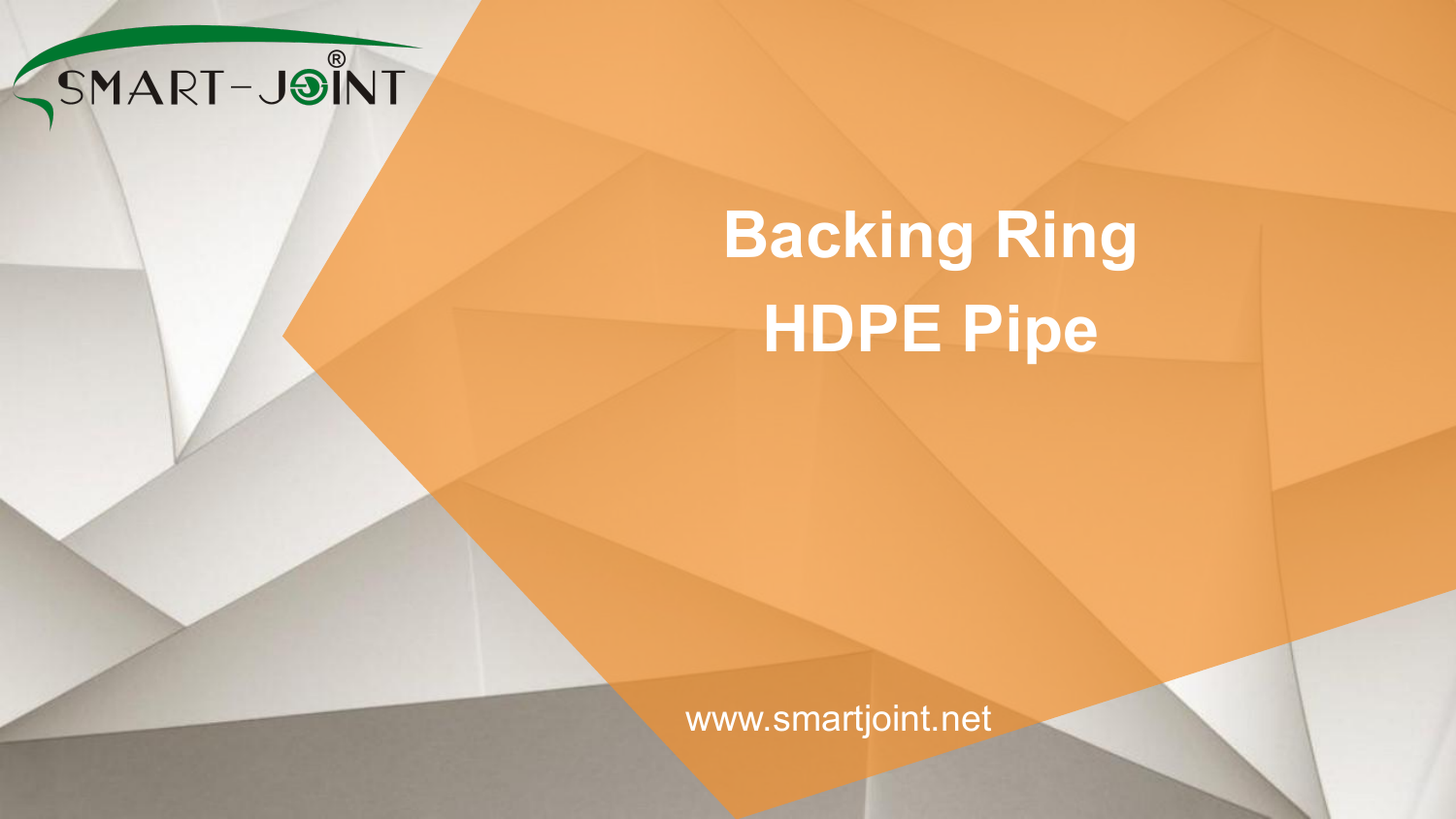

# **Backing Ring HDPE Pipe**

www.smartjoint.net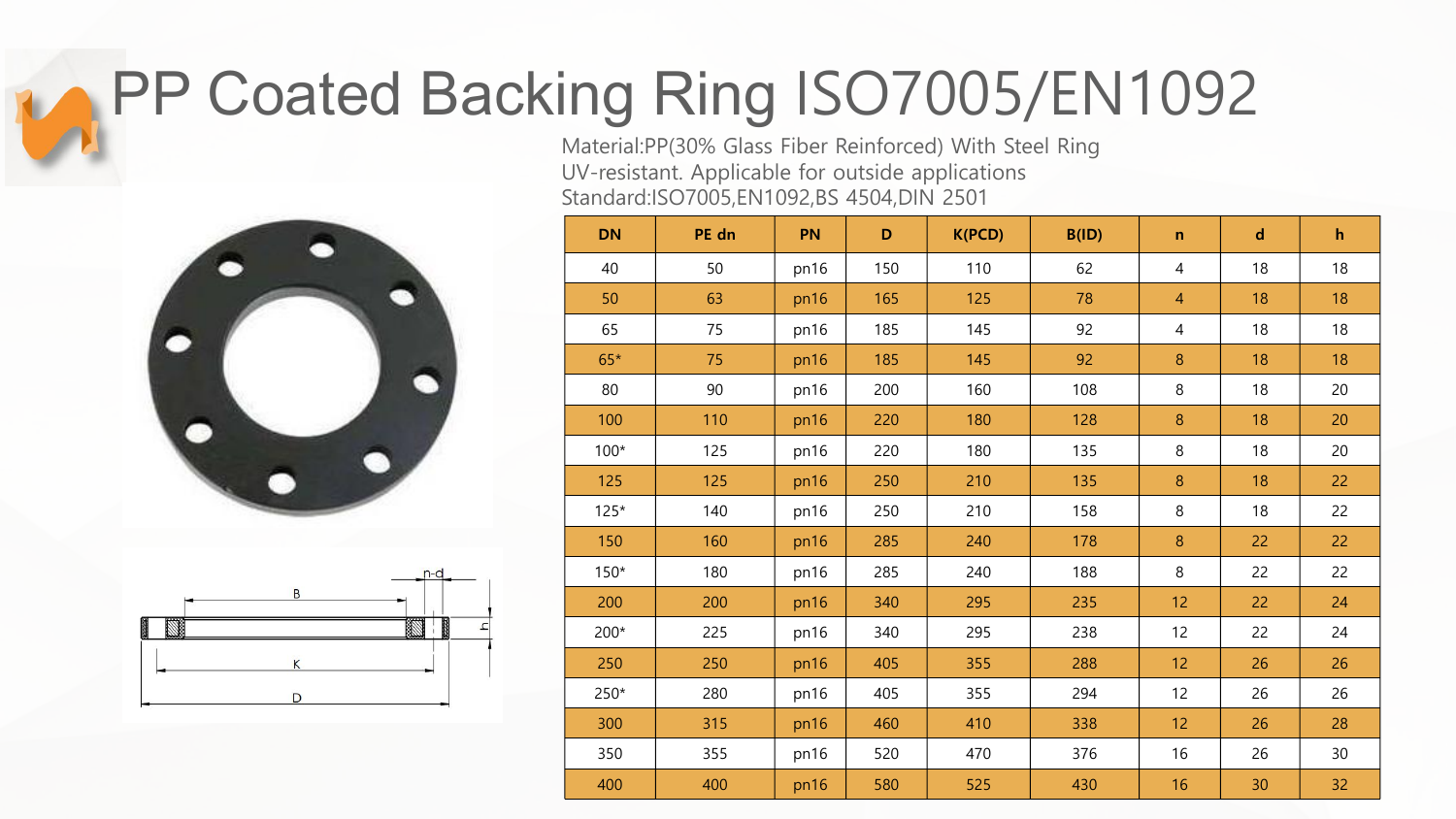### PP Coated Backing Ring ISO7005/EN1092

Material:PP(30% Glass Fiber Reinforced) With Steel Ring UV-resistant. Applicable for outside applications Standard:ISO7005,EN1092,BS 4504,DIN 2501





| <b>DN</b> | PE dn | PN   | $\mathsf D$ | K(PCD) | B(ID) | $\mathbf n$    | $\mathbf d$ | $\mathbf{h}$ |  |
|-----------|-------|------|-------------|--------|-------|----------------|-------------|--------------|--|
| 40        | 50    | pn16 | 150         | 110    | 62    | $\overline{4}$ | 18          | 18           |  |
| 50        | 63    | pn16 | 165         | 125    | 78    | $\overline{4}$ | 18          | 18           |  |
| 65        | 75    | pn16 | 185         | 145    | 92    | $\overline{4}$ | 18          | 18           |  |
| $65*$     | 75    | pn16 | 185         | 145    | 92    | $\bf 8$        | 18          | 18           |  |
| 80        | 90    | pn16 | 200         | 160    | 108   | $\,8\,$        | 18          | 20           |  |
| 100       | 110   | pn16 | 220         | 180    | 128   | $\, 8$         | 18          | 20           |  |
| $100*$    | 125   | pn16 | 220         | 180    | 135   | $\,8\,$        | 18          | 20           |  |
| 125       | 125   | pn16 | 250         | 210    | 135   | $\,8\,$        | 18          | 22           |  |
| $125*$    | 140   | pn16 | 250         | 210    | 158   | $\,8\,$        | 18          | 22           |  |
| 150       | 160   | pn16 | 285         | 240    | 178   | $\,8\,$        | 22          | 22           |  |
| $150*$    | 180   | pn16 | 285         | 240    | 188   | $\,8\,$        | 22          | 22           |  |
| 200       | 200   | pn16 | 340         | 295    | 235   | 12             | 22          | 24           |  |
| 200*      | 225   | pn16 | 340         | 295    | 238   | 12             | 22          | 24           |  |
| 250       | 250   | pn16 | 405         | 355    | 288   | 12             | 26          | 26           |  |
| 250*      | 280   | pn16 | 405         | 355    | 294   | 12             | 26          | 26           |  |
| 300       | 315   | pn16 | 460         | 410    | 338   | 12             | 26          | 28           |  |
| 350       | 355   | pn16 | 520         | 470    | 376   | 16             | 26          | 30           |  |
| 400       | 400   | pn16 | 580         | 525    | 430   | 16             | 30          | 32           |  |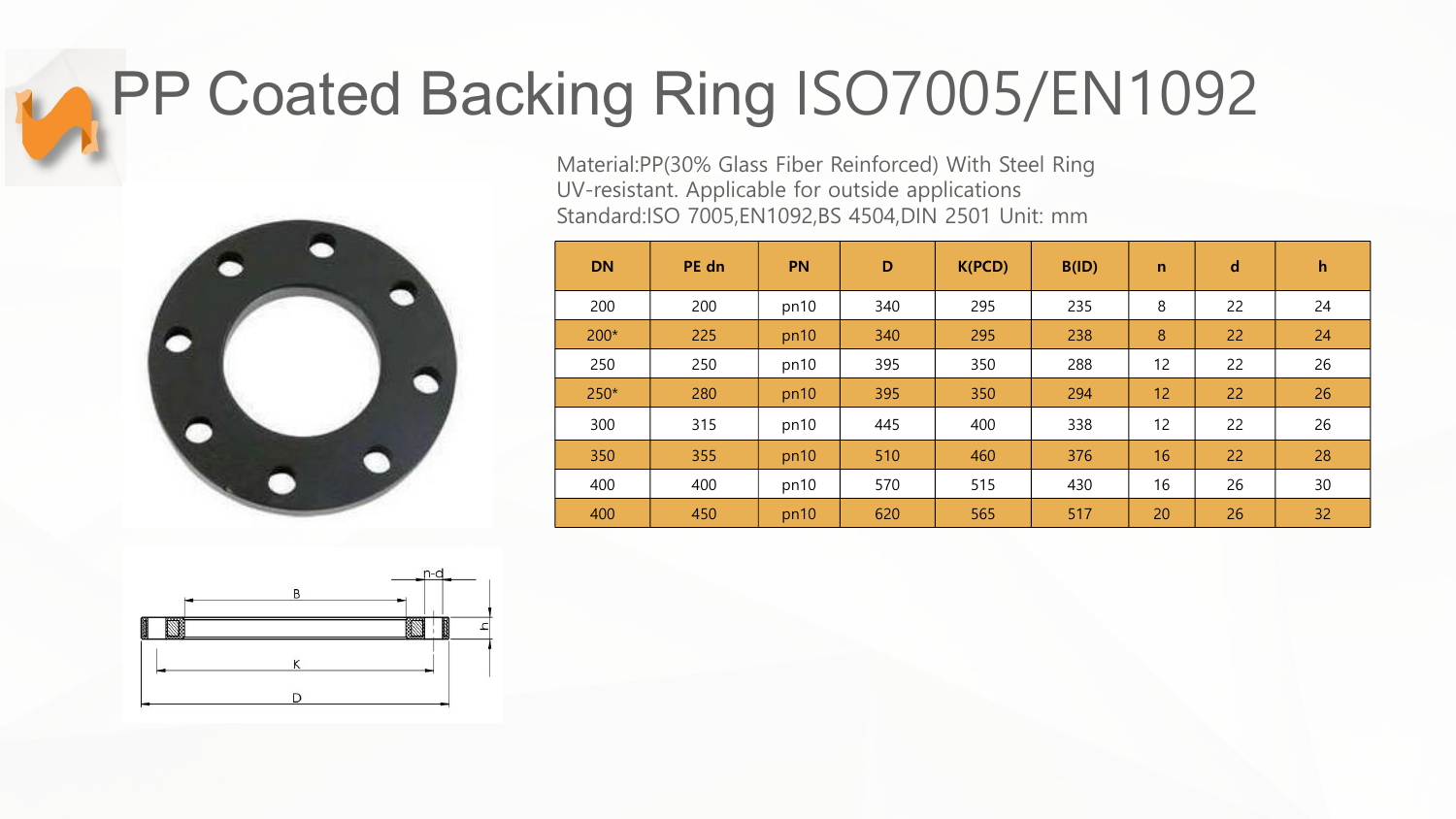### PP Coated Backing Ring ISO7005/EN1092



Material:PP(30% Glass Fiber Reinforced) With Steel Ring UV-resistant. Applicable for outside applications Standard:ISO 7005,EN1092,BS 4504,DIN 2501 Unit: mm

| <b>DN</b> | PE dn | <b>PN</b> | D   | K(PCD) | B(ID) | $\mathbf n$ | $\mathbf d$ | $\mathsf{h}$ |
|-----------|-------|-----------|-----|--------|-------|-------------|-------------|--------------|
| 200       | 200   | pn10      | 340 | 295    | 235   | 8           | 22          | 24           |
| $200*$    | 225   | pn10      | 340 | 295    | 238   | 8           | 22          | 24           |
| 250       | 250   | pn10      | 395 | 350    | 288   | 12          | 22          | 26           |
| $250*$    | 280   | pn10      | 395 | 350    | 294   | 12          | 22          | 26           |
| 300       | 315   | pn10      | 445 | 400    | 338   | 12          | 22          | 26           |
| 350       | 355   | pn10      | 510 | 460    | 376   | 16          | 22          | 28           |
| 400       | 400   | pn10      | 570 | 515    | 430   | 16          | 26          | 30           |
| 400       | 450   | pn10      | 620 | 565    | 517   | 20          | 26          | 32           |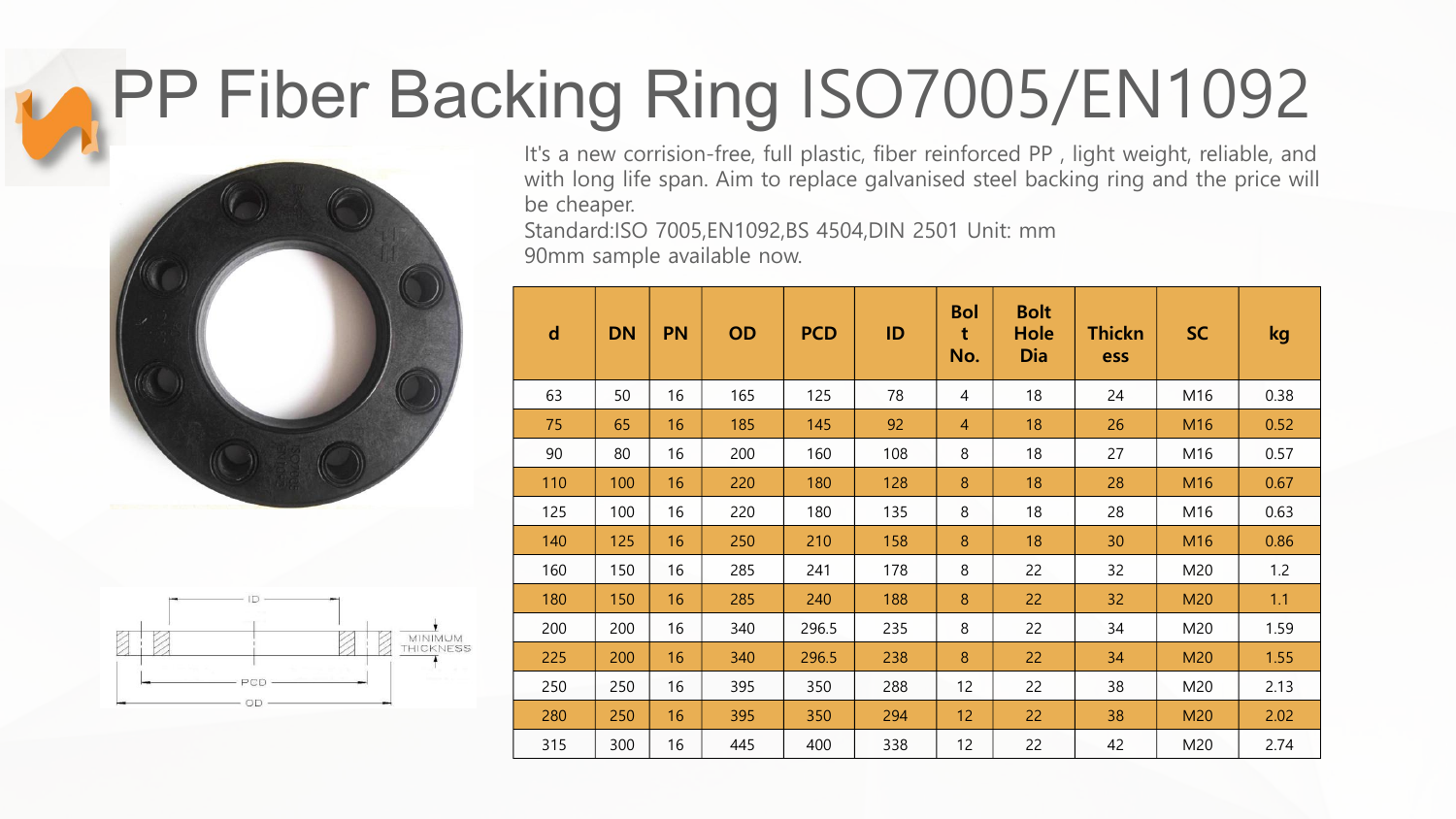## PP Fiber Backing Ring ISO7005/EN1092





It's a new corrision-free, full plastic, fiber reinforced PP , light weight, reliable, and with long life span. Aim to replace galvanised steel backing ring and the price will be cheaper.

Standard:ISO 7005,EN1092,BS 4504,DIN 2501 Unit: mm

90mm sample available now.

| $\mathbf d$ | <b>DN</b> | <b>PN</b> | <b>OD</b> | <b>PCD</b> | ID  | <b>Bol</b><br>t<br>No. | <b>Bolt</b><br><b>Hole</b><br>Dia | <b>Thickn</b><br>ess | <b>SC</b> | kg   |
|-------------|-----------|-----------|-----------|------------|-----|------------------------|-----------------------------------|----------------------|-----------|------|
| 63          | 50        | 16        | 165       | 125        | 78  | $\overline{4}$         | 18                                | 24                   | M16       | 0.38 |
| 75          | 65        | 16        | 185       | 145        | 92  | $\overline{4}$         | 18                                | 26                   | M16       | 0.52 |
| 90          | 80        | 16        | 200       | 160        | 108 | 8                      | 18                                | 27                   | M16       | 0.57 |
| 110         | 100       | 16        | 220       | 180        | 128 | 8                      | 18                                | 28                   | M16       | 0.67 |
| 125         | 100       | 16        | 220       | 180        | 135 | 8                      | 18                                | 28                   | M16       | 0.63 |
| 140         | 125       | 16        | 250       | 210        | 158 | 8                      | 18                                | 30                   | M16       | 0.86 |
| 160         | 150       | 16        | 285       | 241        | 178 | 8                      | 22                                | 32                   | M20       | 1.2  |
| 180         | 150       | 16        | 285       | 240        | 188 | 8                      | 22                                | 32                   | M20       | 1.1  |
| 200         | 200       | 16        | 340       | 296.5      | 235 | 8                      | 22                                | 34                   | M20       | 1.59 |
| 225         | 200       | 16        | 340       | 296.5      | 238 | 8                      | 22                                | 34                   | M20       | 1.55 |
| 250         | 250       | 16        | 395       | 350        | 288 | 12                     | 22                                | 38                   | M20       | 2.13 |
| 280         | 250       | 16        | 395       | 350        | 294 | 12                     | 22                                | 38                   | M20       | 2.02 |
| 315         | 300       | 16        | 445       | 400        | 338 | 12                     | 22                                | 42                   | M20       | 2.74 |